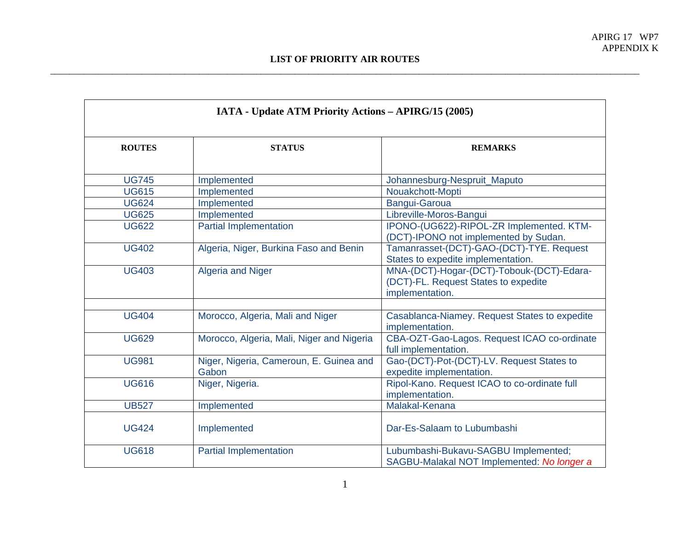| <b>IATA - Update ATM Priority Actions - APIRG/15 (2005)</b> |                                                  |                                                                                                      |  |  |
|-------------------------------------------------------------|--------------------------------------------------|------------------------------------------------------------------------------------------------------|--|--|
| <b>ROUTES</b>                                               | <b>STATUS</b>                                    | <b>REMARKS</b>                                                                                       |  |  |
| <b>UG745</b>                                                | Implemented                                      | Johannesburg-Nespruit_Maputo                                                                         |  |  |
| <b>UG615</b>                                                | Implemented                                      | Nouakchott-Mopti                                                                                     |  |  |
| <b>UG624</b>                                                | Implemented                                      | Bangui-Garoua                                                                                        |  |  |
| <b>UG625</b>                                                | Implemented                                      | Libreville-Moros-Bangui                                                                              |  |  |
| <b>UG622</b>                                                | <b>Partial Implementation</b>                    | IPONO-(UG622)-RIPOL-ZR Implemented. KTM-<br>(DCT)-IPONO not implemented by Sudan.                    |  |  |
| <b>UG402</b>                                                | Algeria, Niger, Burkina Faso and Benin           | Tamanrasset-(DCT)-GAO-(DCT)-TYE. Request<br>States to expedite implementation.                       |  |  |
| <b>UG403</b>                                                | <b>Algeria and Niger</b>                         | MNA-(DCT)-Hogar-(DCT)-Tobouk-(DCT)-Edara-<br>(DCT)-FL. Request States to expedite<br>implementation. |  |  |
| <b>UG404</b>                                                | Morocco, Algeria, Mali and Niger                 | Casablanca-Niamey. Request States to expedite<br>implementation.                                     |  |  |
| <b>UG629</b>                                                | Morocco, Algeria, Mali, Niger and Nigeria        | CBA-OZT-Gao-Lagos. Request ICAO co-ordinate<br>full implementation.                                  |  |  |
| <b>UG981</b>                                                | Niger, Nigeria, Cameroun, E. Guinea and<br>Gabon | Gao-(DCT)-Pot-(DCT)-LV. Request States to<br>expedite implementation.                                |  |  |
| <b>UG616</b>                                                | Niger, Nigeria.                                  | Ripol-Kano. Request ICAO to co-ordinate full<br>implementation.                                      |  |  |
| <b>UB527</b>                                                | Implemented                                      | Malakal-Kenana                                                                                       |  |  |
| <b>UG424</b>                                                | Implemented                                      | Dar-Es-Salaam to Lubumbashi                                                                          |  |  |
| <b>UG618</b>                                                | <b>Partial Implementation</b>                    | Lubumbashi-Bukavu-SAGBU Implemented;<br>SAGBU-Malakal NOT Implemented: No longer a                   |  |  |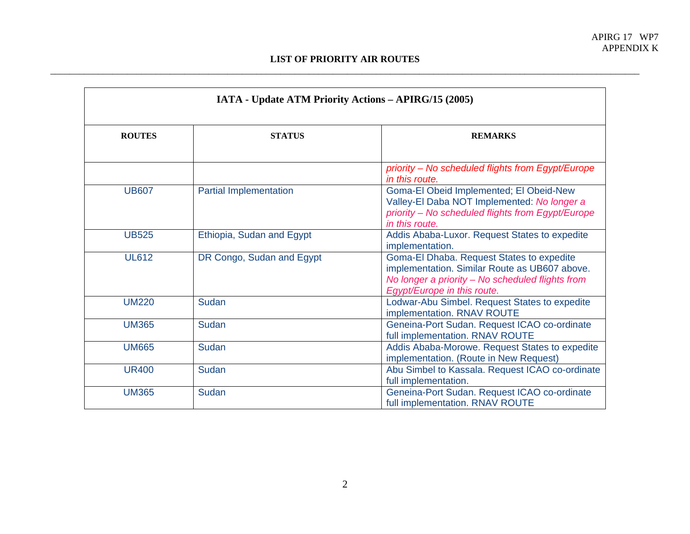| <b>ROUTES</b> | <b>STATUS</b>                 | <b>REMARKS</b>                                                                                                                                                                |
|---------------|-------------------------------|-------------------------------------------------------------------------------------------------------------------------------------------------------------------------------|
|               |                               | priority - No scheduled flights from Egypt/Europe<br>in this route.                                                                                                           |
| <b>UB607</b>  | <b>Partial Implementation</b> | Goma-El Obeid Implemented; El Obeid-New<br>Valley-El Daba NOT Implemented: No longer a<br>priority - No scheduled flights from Egypt/Europe<br>in this route.                 |
| <b>UB525</b>  | Ethiopia, Sudan and Egypt     | Addis Ababa-Luxor. Request States to expedite<br>implementation.                                                                                                              |
| <b>UL612</b>  | DR Congo, Sudan and Egypt     | Goma-El Dhaba. Request States to expedite<br>implementation. Similar Route as UB607 above.<br>No longer a priority - No scheduled flights from<br>Egypt/Europe in this route. |
| <b>UM220</b>  | Sudan                         | Lodwar-Abu Simbel. Request States to expedite<br>implementation. RNAV ROUTE                                                                                                   |
| <b>UM365</b>  | Sudan                         | Geneina-Port Sudan. Request ICAO co-ordinate<br>full implementation. RNAV ROUTE                                                                                               |
| <b>UM665</b>  | Sudan                         | Addis Ababa-Morowe. Request States to expedite<br>implementation. (Route in New Request)                                                                                      |
| <b>UR400</b>  | Sudan                         | Abu Simbel to Kassala. Request ICAO co-ordinate<br>full implementation.                                                                                                       |
| <b>UM365</b>  | <b>Sudan</b>                  | Geneina-Port Sudan. Request ICAO co-ordinate<br>full implementation. RNAV ROUTE                                                                                               |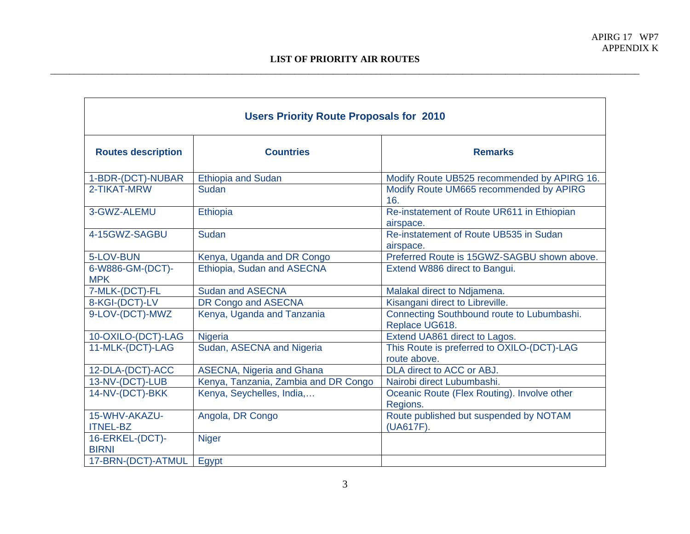| <b>Users Priority Route Proposals for 2010</b> |                                      |                                                              |  |  |
|------------------------------------------------|--------------------------------------|--------------------------------------------------------------|--|--|
| <b>Routes description</b>                      | <b>Countries</b>                     | <b>Remarks</b>                                               |  |  |
| 1-BDR-(DCT)-NUBAR                              | <b>Ethiopia and Sudan</b>            | Modify Route UB525 recommended by APIRG 16.                  |  |  |
| 2-TIKAT-MRW                                    | Sudan                                | Modify Route UM665 recommended by APIRG<br>16.               |  |  |
| 3-GWZ-ALEMU                                    | Ethiopia                             | Re-instatement of Route UR611 in Ethiopian<br>airspace.      |  |  |
| 4-15GWZ-SAGBU                                  | Sudan                                | Re-instatement of Route UB535 in Sudan<br>airspace.          |  |  |
| 5-LOV-BUN                                      | Kenya, Uganda and DR Congo           | Preferred Route is 15GWZ-SAGBU shown above.                  |  |  |
| 6-W886-GM-(DCT)-<br><b>MPK</b>                 | Ethiopia, Sudan and ASECNA           | Extend W886 direct to Bangui.                                |  |  |
| 7-MLK-(DCT)-FL                                 | <b>Sudan and ASECNA</b>              | Malakal direct to Ndjamena.                                  |  |  |
| 8-KGI-(DCT)-LV                                 | DR Congo and ASECNA                  | Kisangani direct to Libreville.                              |  |  |
| 9-LOV-(DCT)-MWZ                                | Kenya, Uganda and Tanzania           | Connecting Southbound route to Lubumbashi.<br>Replace UG618. |  |  |
| 10-OXILO-(DCT)-LAG                             | Nigeria                              | Extend UA861 direct to Lagos.                                |  |  |
| 11-MLK-(DCT)-LAG                               | Sudan, ASECNA and Nigeria            | This Route is preferred to OXILO-(DCT)-LAG<br>route above.   |  |  |
| 12-DLA-(DCT)-ACC                               | <b>ASECNA, Nigeria and Ghana</b>     | DLA direct to ACC or ABJ.                                    |  |  |
| 13-NV-(DCT)-LUB                                | Kenya, Tanzania, Zambia and DR Congo | Nairobi direct Lubumbashi.                                   |  |  |
| 14-NV-(DCT)-BKK                                | Kenya, Seychelles, India,            | Oceanic Route (Flex Routing). Involve other<br>Regions.      |  |  |
| 15-WHV-AKAZU-<br><b>ITNEL-BZ</b>               | Angola, DR Congo                     | Route published but suspended by NOTAM<br>(UA617F).          |  |  |
| 16-ERKEL-(DCT)-<br><b>BIRNI</b>                | <b>Niger</b>                         |                                                              |  |  |
| 17-BRN-(DCT)-ATMUL                             | Egypt                                |                                                              |  |  |